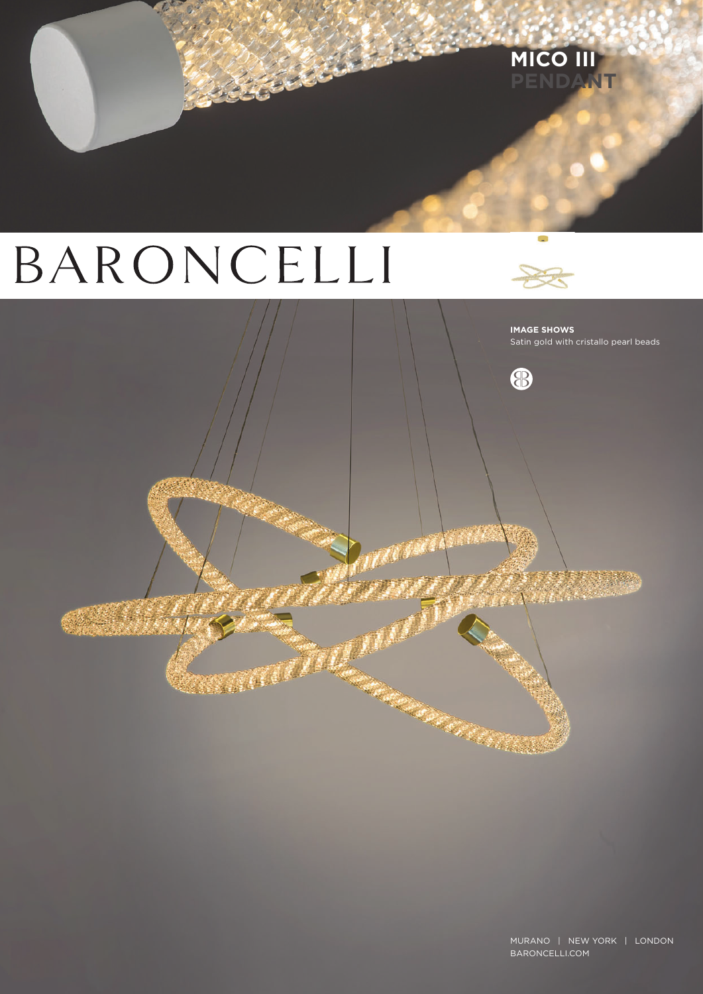# BARONCELLI

**Service And** 



8

**STATE OF THE CARD** 

MICO III

**IMAGE SHOWS** Satin gold with cristallo pearl beads

88